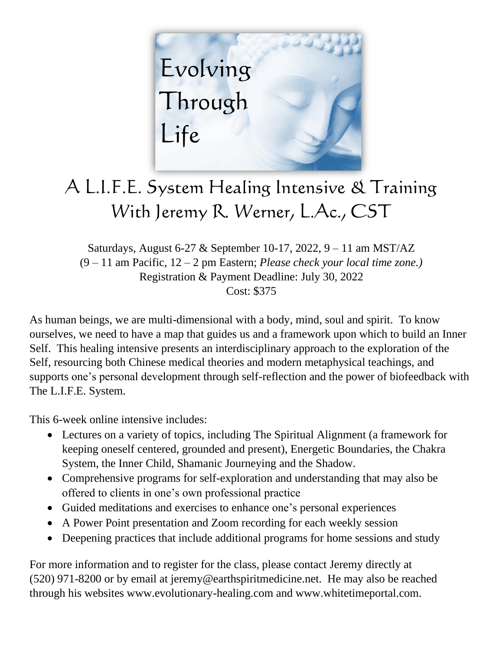

## A L.I.F.E. System Healing Intensive & Training With Jeremy R. Werner, L.Ac., CST

Saturdays, August 6-27 & September 10-17, 2022, 9 – 11 am MST/AZ (9 – 11 am Pacific, 12 – 2 pm Eastern; *Please check your local time zone.)* Registration & Payment Deadline: July 30, 2022 Cost: \$375

As human beings, we are multi-dimensional with a body, mind, soul and spirit. To know ourselves, we need to have a map that guides us and a framework upon which to build an Inner Self. This healing intensive presents an interdisciplinary approach to the exploration of the Self, resourcing both Chinese medical theories and modern metaphysical teachings, and supports one's personal development through self-reflection and the power of biofeedback with The L.I.F.E. System.

This 6-week online intensive includes:

- Lectures on a variety of topics, including The Spiritual Alignment (a framework for keeping oneself centered, grounded and present), Energetic Boundaries, the Chakra System, the Inner Child, Shamanic Journeying and the Shadow.
- Comprehensive programs for self-exploration and understanding that may also be offered to clients in one's own professional practice
- Guided meditations and exercises to enhance one's personal experiences
- A Power Point presentation and Zoom recording for each weekly session
- Deepening practices that include additional programs for home sessions and study

For more information and to register for the class, please contact Jeremy directly at (520) 971-8200 or by email at jeremy@earthspiritmedicine.net. He may also be reached through his websites www.evolutionary-healing.com and www.whitetimeportal.com.